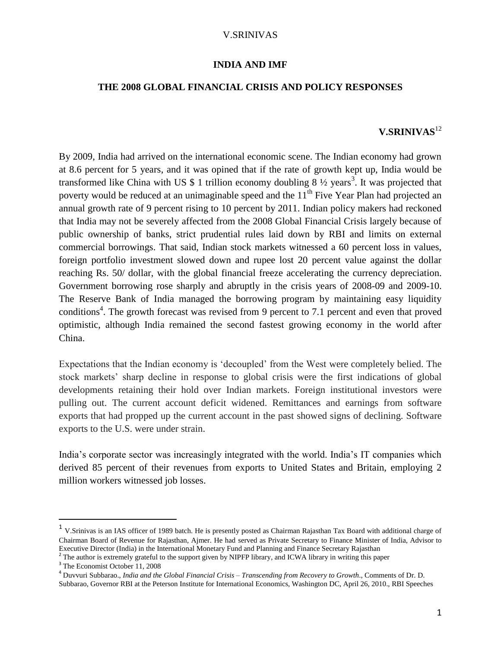#### **INDIA AND IMF**

### **THE 2008 GLOBAL FINANCIAL CRISIS AND POLICY RESPONSES**

# **V.SRINIVAS**<sup>12</sup>

By 2009, India had arrived on the international economic scene. The Indian economy had grown at 8.6 percent for 5 years, and it was opined that if the rate of growth kept up, India would be transformed like China with US \$ 1 trillion economy doubling  $8\frac{1}{2}$  years<sup>3</sup>. It was projected that poverty would be reduced at an unimaginable speed and the  $11<sup>th</sup>$  Five Year Plan had projected an annual growth rate of 9 percent rising to 10 percent by 2011. Indian policy makers had reckoned that India may not be severely affected from the 2008 Global Financial Crisis largely because of public ownership of banks, strict prudential rules laid down by RBI and limits on external commercial borrowings. That said, Indian stock markets witnessed a 60 percent loss in values, foreign portfolio investment slowed down and rupee lost 20 percent value against the dollar reaching Rs. 50/ dollar, with the global financial freeze accelerating the currency depreciation. Government borrowing rose sharply and abruptly in the crisis years of 2008-09 and 2009-10. The Reserve Bank of India managed the borrowing program by maintaining easy liquidity conditions<sup>4</sup>. The growth forecast was revised from 9 percent to 7.1 percent and even that proved optimistic, although India remained the second fastest growing economy in the world after China.

Expectations that the Indian economy is 'decoupled' from the West were completely belied. The stock markets' sharp decline in response to global crisis were the first indications of global developments retaining their hold over Indian markets. Foreign institutional investors were pulling out. The current account deficit widened. Remittances and earnings from software exports that had propped up the current account in the past showed signs of declining. Software exports to the U.S. were under strain.

India's corporate sector was increasingly integrated with the world. India's IT companies which derived 85 percent of their revenues from exports to United States and Britain, employing 2 million workers witnessed job losses.

<sup>&</sup>lt;sup>1</sup> V.Srinivas is an IAS officer of 1989 batch. He is presently posted as Chairman Rajasthan Tax Board with additional charge of Chairman Board of Revenue for Rajasthan, Ajmer. He had served as Private Secretary to Finance Minister of India, Advisor to Executive Director (India) in the International Monetary Fund and Planning and Finance Secretary Rajasthan

<sup>&</sup>lt;sup>2</sup> The author is extremely grateful to the support given by NIPFP library, and ICWA library in writing this paper

<sup>&</sup>lt;sup>3</sup> The Economist October 11, 2008

<sup>4</sup> Duvvuri Subbarao., *India and the Global Financial Crisis – Transcending from Recovery to Growth*., Comments of Dr. D.

Subbarao, Governor RBI at the Peterson Institute for International Economics, Washington DC, April 26, 2010., RBI Speeches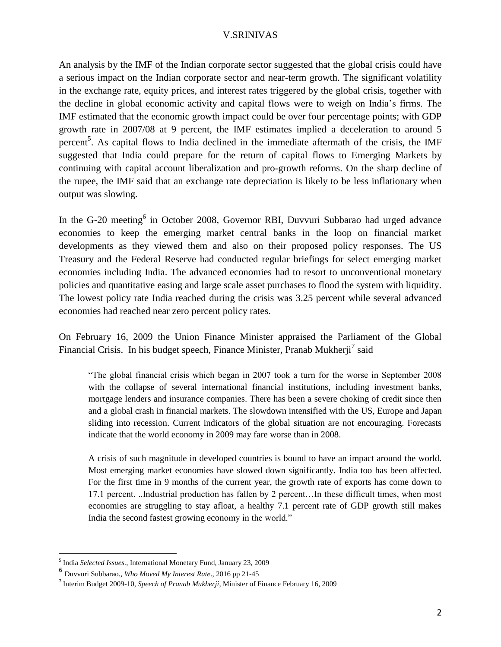An analysis by the IMF of the Indian corporate sector suggested that the global crisis could have a serious impact on the Indian corporate sector and near-term growth. The significant volatility in the exchange rate, equity prices, and interest rates triggered by the global crisis, together with the decline in global economic activity and capital flows were to weigh on India's firms. The IMF estimated that the economic growth impact could be over four percentage points; with GDP growth rate in 2007/08 at 9 percent, the IMF estimates implied a deceleration to around 5 percent<sup>5</sup>. As capital flows to India declined in the immediate aftermath of the crisis, the IMF suggested that India could prepare for the return of capital flows to Emerging Markets by continuing with capital account liberalization and pro-growth reforms. On the sharp decline of the rupee, the IMF said that an exchange rate depreciation is likely to be less inflationary when output was slowing.

In the G-20 meeting<sup>6</sup> in October 2008, Governor RBI, Duvvuri Subbarao had urged advance economies to keep the emerging market central banks in the loop on financial market developments as they viewed them and also on their proposed policy responses. The US Treasury and the Federal Reserve had conducted regular briefings for select emerging market economies including India. The advanced economies had to resort to unconventional monetary policies and quantitative easing and large scale asset purchases to flood the system with liquidity. The lowest policy rate India reached during the crisis was 3.25 percent while several advanced economies had reached near zero percent policy rates.

On February 16, 2009 the Union Finance Minister appraised the Parliament of the Global Financial Crisis. In his budget speech, Finance Minister, Pranab Mukherji<sup>7</sup> said

"The global financial crisis which began in 2007 took a turn for the worse in September 2008 with the collapse of several international financial institutions, including investment banks, mortgage lenders and insurance companies. There has been a severe choking of credit since then and a global crash in financial markets. The slowdown intensified with the US, Europe and Japan sliding into recession. Current indicators of the global situation are not encouraging. Forecasts indicate that the world economy in 2009 may fare worse than in 2008.

A crisis of such magnitude in developed countries is bound to have an impact around the world. Most emerging market economies have slowed down significantly. India too has been affected. For the first time in 9 months of the current year, the growth rate of exports has come down to 17.1 percent. ..Industrial production has fallen by 2 percent…In these difficult times, when most economies are struggling to stay afloat, a healthy 7.1 percent rate of GDP growth still makes India the second fastest growing economy in the world."

<sup>5</sup> India *Selected Issues*., International Monetary Fund, January 23, 2009

<sup>6</sup> Duvvuri Subbarao., *Who Moved My Interest Rate*., 2016 pp 21-45

<sup>7</sup> Interim Budget 2009-10, *Speech of Pranab Mukherji*, Minister of Finance February 16, 2009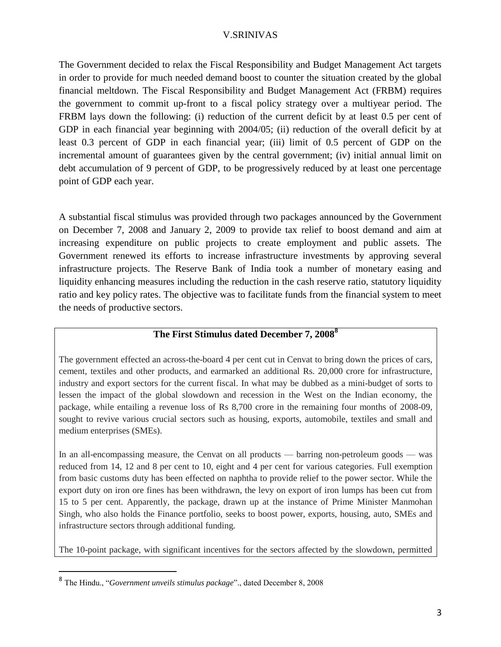The Government decided to relax the Fiscal Responsibility and Budget Management Act targets in order to provide for much needed demand boost to counter the situation created by the global financial meltdown. The Fiscal Responsibility and Budget Management Act (FRBM) requires the government to commit up-front to a fiscal policy strategy over a multiyear period. The FRBM lays down the following: (i) reduction of the current deficit by at least 0.5 per cent of GDP in each financial year beginning with 2004/05; (ii) reduction of the overall deficit by at least 0.3 percent of GDP in each financial year; (iii) limit of 0.5 percent of GDP on the incremental amount of guarantees given by the central government; (iv) initial annual limit on debt accumulation of 9 percent of GDP, to be progressively reduced by at least one percentage point of GDP each year.

A substantial fiscal stimulus was provided through two packages announced by the Government on December 7, 2008 and January 2, 2009 to provide tax relief to boost demand and aim at increasing expenditure on public projects to create employment and public assets. The Government renewed its efforts to increase infrastructure investments by approving several infrastructure projects. The Reserve Bank of India took a number of monetary easing and liquidity enhancing measures including the reduction in the cash reserve ratio, statutory liquidity ratio and key policy rates. The objective was to facilitate funds from the financial system to meet the needs of productive sectors.

# **The First Stimulus dated December 7, 2008<sup>8</sup>**

The government effected an across-the-board 4 per cent cut in Cenvat to bring down the prices of cars, cement, textiles and other products, and earmarked an additional Rs. 20,000 crore for infrastructure, industry and export sectors for the current fiscal. In what may be dubbed as a mini-budget of sorts to lessen the impact of the global slowdown and recession in the West on the Indian economy, the package, while entailing a revenue loss of Rs 8,700 crore in the remaining four months of 2008-09, sought to revive various crucial sectors such as housing, exports, automobile, textiles and small and medium enterprises (SMEs).

In an all-encompassing measure, the Cenvat on all products — barring non-petroleum goods — was reduced from 14, 12 and 8 per cent to 10, eight and 4 per cent for various categories. Full exemption from basic customs duty has been effected on naphtha to provide relief to the power sector. While the export duty on iron ore fines has been withdrawn, the levy on export of iron lumps has been cut from 15 to 5 per cent. Apparently, the package, drawn up at the instance of Prime Minister Manmohan Singh, who also holds the Finance portfolio, seeks to boost power, exports, housing, auto, SMEs and infrastructure sectors through additional funding.

The 10-point package, with significant incentives for the sectors affected by the slowdown, permitted

<sup>8</sup> The Hindu., "*Government unveils stimulus package*"., dated December 8, 2008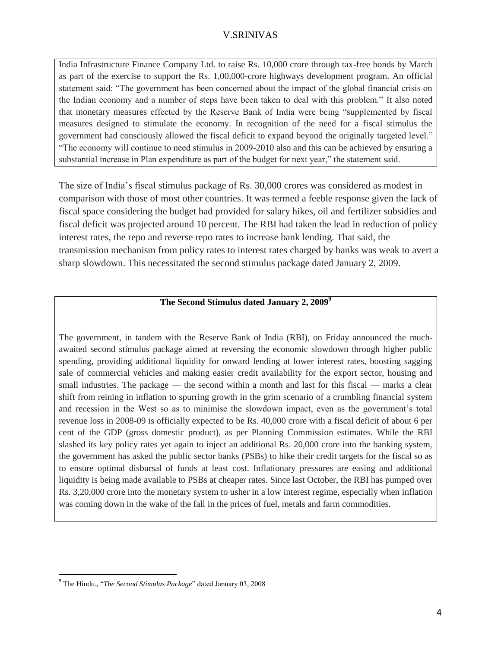India Infrastructure Finance Company Ltd. to raise Rs. 10,000 crore through tax-free bonds by March as part of the exercise to support the Rs. 1,00,000-crore highways development program. An official statement said: "The government has been concerned about the impact of the global financial crisis on the Indian economy and a number of steps have been taken to deal with this problem." It also noted that monetary measures effected by the Reserve Bank of India were being "supplemented by fiscal measures designed to stimulate the economy. In recognition of the need for a fiscal stimulus the government had consciously allowed the fiscal deficit to expand beyond the originally targeted level." "The economy will continue to need stimulus in 2009-2010 also and this can be achieved by ensuring a substantial increase in Plan expenditure as part of the budget for next year," the statement said.

The size of India's fiscal stimulus package of Rs. 30,000 crores was considered as modest in comparison with those of most other countries. It was termed a feeble response given the lack of fiscal space considering the budget had provided for salary hikes, oil and fertilizer subsidies and fiscal deficit was projected around 10 percent. The RBI had taken the lead in reduction of policy interest rates, the repo and reverse repo rates to increase bank lending. That said, the transmission mechanism from policy rates to interest rates charged by banks was weak to avert a sharp slowdown. This necessitated the second stimulus package dated January 2, 2009.

## **The Second Stimulus dated January 2, 2009<sup>9</sup>**

The government, in tandem with the Reserve Bank of India (RBI), on Friday announced the muchawaited second stimulus package aimed at reversing the economic slowdown through higher public spending, providing additional liquidity for onward lending at lower interest rates, boosting sagging sale of commercial vehicles and making easier credit availability for the export sector, housing and small industries. The package — the second within a month and last for this fiscal — marks a clear shift from reining in inflation to spurring growth in the grim scenario of a crumbling financial system and recession in the West so as to minimise the slowdown impact, even as the government's total revenue loss in 2008-09 is officially expected to be Rs. 40,000 crore with a fiscal deficit of about 6 per cent of the GDP (gross domestic product), as per Planning Commission estimates. While the RBI slashed its key policy rates yet again to inject an additional Rs. 20,000 crore into the banking system, the government has asked the public sector banks (PSBs) to hike their credit targets for the fiscal so as to ensure optimal disbursal of funds at least cost. Inflationary pressures are easing and additional liquidity is being made available to PSBs at cheaper rates. Since last October, the RBI has pumped over Rs. 3,20,000 crore into the monetary system to usher in a low interest regime, especially when inflation was coming down in the wake of the fall in the prices of fuel, metals and farm commodities.

<sup>9</sup> The Hindu., "*The Second Stimulus Package*" dated January 03, 2008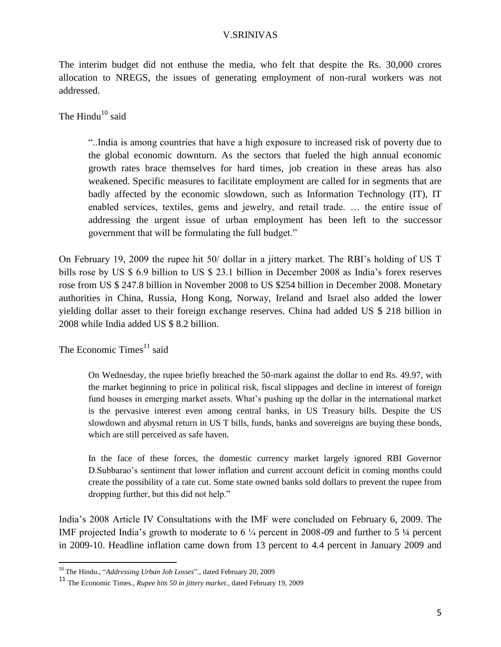The interim budget did not enthuse the media, who felt that despite the Rs. 30,000 crores allocation to NREGS, the issues of generating employment of non-rural workers was not addressed.

The Hindu<sup>10</sup> said

"..India is among countries that have a high exposure to increased risk of poverty due to the global economic downturn. As the sectors that fueled the high annual economic growth rates brace themselves for hard times, job creation in these areas has also weakened. Specific measures to facilitate employment are called for in segments that are badly affected by the economic slowdown, such as Information Technology (IT), IT enabled services, textiles, gems and jewelry, and retail trade. … the entire issue of addressing the urgent issue of urban employment has been left to the successor government that will be formulating the full budget."

On February 19, 2009 the rupee hit 50/ dollar in a jittery market. The RBI's holding of US T bills rose by US \$ 6.9 billion to US \$ 23.1 billion in December 2008 as India's forex reserves rose from US \$ 247.8 billion in November 2008 to US \$254 billion in December 2008. Monetary authorities in China, Russia, Hong Kong, Norway, Ireland and Israel also added the lower yielding dollar asset to their foreign exchange reserves. China had added US \$ 218 billion in 2008 while India added US \$ 8.2 billion.

The Economic Times $^{11}$  said

 $\overline{a}$ 

On Wednesday, the rupee briefly breached the 50-mark against the dollar to end Rs. 49.97, with the market beginning to price in political risk, fiscal slippages and decline in interest of foreign fund houses in emerging market assets. What's pushing up the dollar in the international market is the pervasive interest even among central banks, in US Treasury bills. Despite the US slowdown and abysmal return in US T bills, funds, banks and sovereigns are buying these bonds, which are still perceived as safe haven.

In the face of these forces, the domestic currency market largely ignored RBI Governor D.Subbarao's sentiment that lower inflation and current account deficit in coming months could create the possibility of a rate cut. Some state owned banks sold dollars to prevent the rupee from dropping further, but this did not help."

India's 2008 Article IV Consultations with the IMF were concluded on February 6, 2009. The IMF projected India's growth to moderate to 6 ¼ percent in 2008-09 and further to 5 ¼ percent in 2009-10. Headline inflation came down from 13 percent to 4.4 percent in January 2009 and

<sup>10</sup> The Hindu., "*Addressing Urban Job Losses*"., dated February 20, 2009

<sup>11</sup> The Economic Times., *Rupee hits 50 in jittery market.,* dated February 19, 2009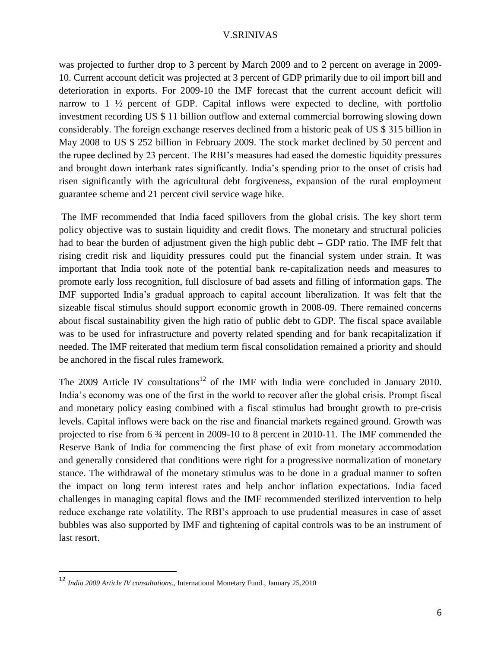was projected to further drop to 3 percent by March 2009 and to 2 percent on average in 2009- 10. Current account deficit was projected at 3 percent of GDP primarily due to oil import bill and deterioration in exports. For 2009-10 the IMF forecast that the current account deficit will narrow to 1  $\frac{1}{2}$  percent of GDP. Capital inflows were expected to decline, with portfolio investment recording US \$ 11 billion outflow and external commercial borrowing slowing down considerably. The foreign exchange reserves declined from a historic peak of US \$ 315 billion in May 2008 to US \$ 252 billion in February 2009. The stock market declined by 50 percent and the rupee declined by 23 percent. The RBI's measures had eased the domestic liquidity pressures and brought down interbank rates significantly. India's spending prior to the onset of crisis had risen significantly with the agricultural debt forgiveness, expansion of the rural employment guarantee scheme and 21 percent civil service wage hike.

The IMF recommended that India faced spillovers from the global crisis. The key short term policy objective was to sustain liquidity and credit flows. The monetary and structural policies had to bear the burden of adjustment given the high public debt – GDP ratio. The IMF felt that rising credit risk and liquidity pressures could put the financial system under strain. It was important that India took note of the potential bank re-capitalization needs and measures to promote early loss recognition, full disclosure of bad assets and filling of information gaps. The IMF supported India's gradual approach to capital account liberalization. It was felt that the sizeable fiscal stimulus should support economic growth in 2008-09. There remained concerns about fiscal sustainability given the high ratio of public debt to GDP. The fiscal space available was to be used for infrastructure and poverty related spending and for bank recapitalization if needed. The IMF reiterated that medium term fiscal consolidation remained a priority and should be anchored in the fiscal rules framework.

The 2009 Article IV consultations<sup>12</sup> of the IMF with India were concluded in January 2010. India's economy was one of the first in the world to recover after the global crisis. Prompt fiscal and monetary policy easing combined with a fiscal stimulus had brought growth to pre-crisis levels. Capital inflows were back on the rise and financial markets regained ground. Growth was projected to rise from 6 ¾ percent in 2009-10 to 8 percent in 2010-11. The IMF commended the Reserve Bank of India for commencing the first phase of exit from monetary accommodation and generally considered that conditions were right for a progressive normalization of monetary stance. The withdrawal of the monetary stimulus was to be done in a gradual manner to soften the impact on long term interest rates and help anchor inflation expectations. India faced challenges in managing capital flows and the IMF recommended sterilized intervention to help reduce exchange rate volatility. The RBI's approach to use prudential measures in case of asset bubbles was also supported by IMF and tightening of capital controls was to be an instrument of last resort.

<sup>12</sup> *India 2009 Article IV consultations*., International Monetary Fund., January 25,2010